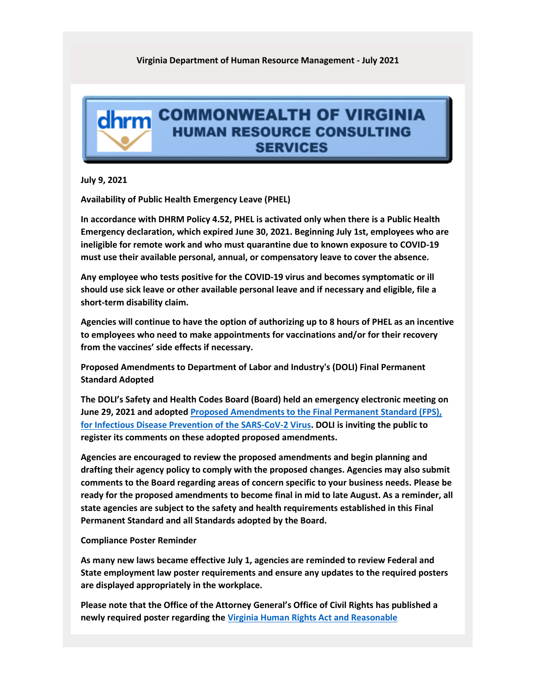## **Virginia Department of Human Resource Management - July 2021**

## dhrm COMMONWEALTH OF VIRGINIA **HUMAN RESOURCE CONSULTING SERVICES**

**July 9, 2021**

**Availability of Public Health Emergency Leave (PHEL)**

**In accordance with DHRM Policy 4.52, PHEL is activated only when there is a Public Health Emergency declaration, which expired June 30, 2021. Beginning July 1st, employees who are ineligible for remote work and who must quarantine due to known exposure to COVID-19 must use their available personal, annual, or compensatory leave to cover the absence.**

**Any employee who tests positive for the COVID-19 virus and becomes symptomatic or ill should use sick leave or other available personal leave and if necessary and eligible, file a short-term disability claim.**

**Agencies will continue to have the option of authorizing up to 8 hours of PHEL as an incentive to employees who need to make appointments for vaccinations and/or for their recovery from the vaccines' side effects if necessary.**

**Proposed Amendments to Department of Labor and Industry's (DOLI) Final Permanent Standard Adopted**

**The DOLI's Safety and Health Codes Board (Board) held an emergency electronic meeting on June 29, 2021 and adopte[d Proposed Amendments to the Final Permanent Standard \(FPS\),](https://lnks.gd/l/eyJhbGciOiJIUzI1NiJ9.eyJidWxsZXRpbl9saW5rX2lkIjoxMDAsInVyaSI6ImJwMjpjbGljayIsImJ1bGxldGluX2lkIjoiMjAyMTA3MDkuNDMwMTkxNTEiLCJ1cmwiOiJodHRwczovL3d3dy5kb2xpLnZpcmdpbmlhLmdvdi9wcm9wb3NlZC1jaGFuZ2VzLXRvLWZwcy8ifQ.Ji2iz6Rn_UQ4AWMg0qeVEv4VNiasfZN_PYI3cbBfJtI/s/1258048481/br/109102331454-l)  [for Infectious Disease Prevention of the SARS-CoV-2 Virus.](https://lnks.gd/l/eyJhbGciOiJIUzI1NiJ9.eyJidWxsZXRpbl9saW5rX2lkIjoxMDAsInVyaSI6ImJwMjpjbGljayIsImJ1bGxldGluX2lkIjoiMjAyMTA3MDkuNDMwMTkxNTEiLCJ1cmwiOiJodHRwczovL3d3dy5kb2xpLnZpcmdpbmlhLmdvdi9wcm9wb3NlZC1jaGFuZ2VzLXRvLWZwcy8ifQ.Ji2iz6Rn_UQ4AWMg0qeVEv4VNiasfZN_PYI3cbBfJtI/s/1258048481/br/109102331454-l) DOLI is inviting the public to register its comments on these adopted proposed amendments.**

**Agencies are encouraged to review the proposed amendments and begin planning and drafting their agency policy to comply with the proposed changes. Agencies may also submit comments to the Board regarding areas of concern specific to your business needs. Please be ready for the proposed amendments to become final in mid to late August. As a reminder, all state agencies are subject to the safety and health requirements established in this Final Permanent Standard and all Standards adopted by the Board.**

## **Compliance Poster Reminder**

**As many new laws became effective July 1, agencies are reminded to review Federal and State employment law poster requirements and ensure any updates to the required posters are displayed appropriately in the workplace.**

**Please note that the Office of the Attorney General's Office of Civil Rights has published a newly required poster regarding the [Virginia Human Rights Act and Reasonable](https://lnks.gd/l/eyJhbGciOiJIUzI1NiJ9.eyJidWxsZXRpbl9saW5rX2lkIjoxMDEsInVyaSI6ImJwMjpjbGljayIsImJ1bGxldGluX2lkIjoiMjAyMTA3MDkuNDMwMTkxNTEiLCJ1cmwiOiJodHRwczovL3d3dy5vYWcuc3RhdGUudmEudXMvZmlsZXMvT0NSL09VVFJFQUNIX0lORk8lMjBTSEVFVF9ESVNBQklMSVRZLURJU0NOLVBST1ZJU0lPTlMucGRmIn0.xO8XdHJD7A8RHEeK-xjfg-wn5exXqRpITllIGU7lTsE/s/1258048481/br/109102331454-l)**